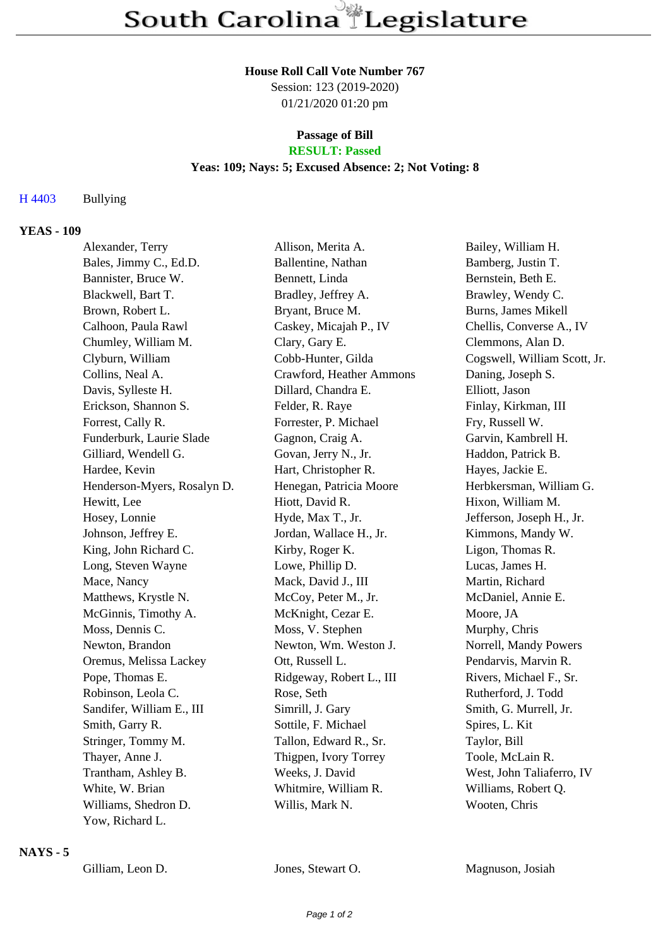#### **House Roll Call Vote Number 767**

Session: 123 (2019-2020) 01/21/2020 01:20 pm

# **Passage of Bill**

# **RESULT: Passed**

# **Yeas: 109; Nays: 5; Excused Absence: 2; Not Voting: 8**

#### H 4403 Bullying

### **YEAS - 109**

| Alexander, Terry            | Allison, Merita A.       | Bailey, William H.           |
|-----------------------------|--------------------------|------------------------------|
| Bales, Jimmy C., Ed.D.      | Ballentine, Nathan       | Bamberg, Justin T.           |
| Bannister, Bruce W.         | Bennett, Linda           | Bernstein, Beth E.           |
| Blackwell, Bart T.          | Bradley, Jeffrey A.      | Brawley, Wendy C.            |
| Brown, Robert L.            | Bryant, Bruce M.         | Burns, James Mikell          |
| Calhoon, Paula Rawl         | Caskey, Micajah P., IV   | Chellis, Converse A., IV     |
| Chumley, William M.         | Clary, Gary E.           | Clemmons, Alan D.            |
| Clyburn, William            | Cobb-Hunter, Gilda       | Cogswell, William Scott, Jr. |
| Collins, Neal A.            | Crawford, Heather Ammons | Daning, Joseph S.            |
| Davis, Sylleste H.          | Dillard, Chandra E.      | Elliott, Jason               |
| Erickson, Shannon S.        | Felder, R. Raye          | Finlay, Kirkman, III         |
| Forrest, Cally R.           | Forrester, P. Michael    | Fry, Russell W.              |
| Funderburk, Laurie Slade    | Gagnon, Craig A.         | Garvin, Kambrell H.          |
| Gilliard, Wendell G.        | Govan, Jerry N., Jr.     | Haddon, Patrick B.           |
| Hardee, Kevin               | Hart, Christopher R.     | Hayes, Jackie E.             |
| Henderson-Myers, Rosalyn D. | Henegan, Patricia Moore  | Herbkersman, William G.      |
| Hewitt, Lee                 | Hiott, David R.          | Hixon, William M.            |
| Hosey, Lonnie               | Hyde, Max T., Jr.        | Jefferson, Joseph H., Jr.    |
| Johnson, Jeffrey E.         | Jordan, Wallace H., Jr.  | Kimmons, Mandy W.            |
| King, John Richard C.       | Kirby, Roger K.          | Ligon, Thomas R.             |
| Long, Steven Wayne          | Lowe, Phillip D.         | Lucas, James H.              |
| Mace, Nancy                 | Mack, David J., III      | Martin, Richard              |
| Matthews, Krystle N.        | McCoy, Peter M., Jr.     | McDaniel, Annie E.           |
| McGinnis, Timothy A.        | McKnight, Cezar E.       | Moore, JA                    |
| Moss, Dennis C.             | Moss, V. Stephen         | Murphy, Chris                |
| Newton, Brandon             | Newton, Wm. Weston J.    | Norrell, Mandy Powers        |
| Oremus, Melissa Lackey      | Ott, Russell L.          | Pendarvis, Marvin R.         |
| Pope, Thomas E.             | Ridgeway, Robert L., III | Rivers, Michael F., Sr.      |
| Robinson, Leola C.          | Rose, Seth               | Rutherford, J. Todd          |
| Sandifer, William E., III   | Simrill, J. Gary         | Smith, G. Murrell, Jr.       |
| Smith, Garry R.             | Sottile, F. Michael      | Spires, L. Kit               |
| Stringer, Tommy M.          | Tallon, Edward R., Sr.   | Taylor, Bill                 |
| Thayer, Anne J.             | Thigpen, Ivory Torrey    | Toole, McLain R.             |
| Trantham, Ashley B.         | Weeks, J. David          | West, John Taliaferro, IV    |
| White, W. Brian             | Whitmire, William R.     | Williams, Robert Q.          |
| Williams, Shedron D.        | Willis, Mark N.          | Wooten, Chris                |
| Yow, Richard L.             |                          |                              |

#### **NAYS - 5**

Gilliam, Leon D. Jones, Stewart O. Magnuson, Josiah